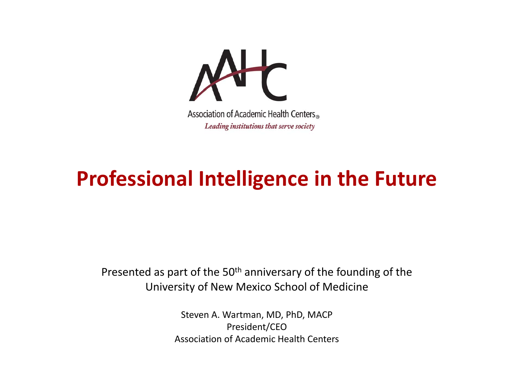

#### **Professional Intelligence in the Future**

Presented as part of the 50<sup>th</sup> anniversary of the founding of the University of New Mexico School of Medicine

> Steven A. Wartman, MD, PhD, MACP President/CEO Association of Academic Health Centers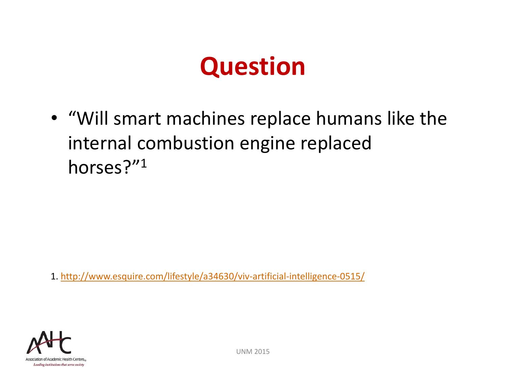#### **Question**

• "Will smart machines replace humans like the internal combustion engine replaced horses?"1

1. http://www.esquire.com/lifestyle/a34630/viv‐artificial‐intelligence‐0515/

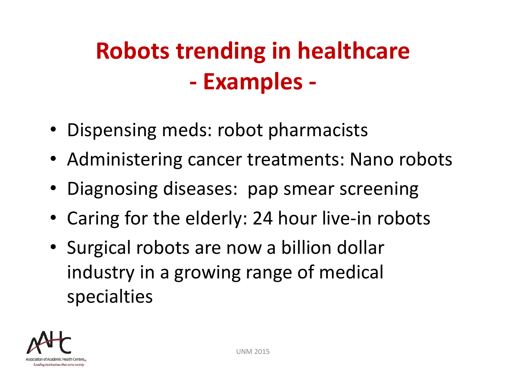#### **Robots trending in healthcare ‐ Examples ‐**

- Dispensing meds: robot pharmacists
- Administering cancer treatments: Nano robots
- Diagnosing diseases: pap smear screening
- Caring for the elderly: 24 hour live‐in robots
- Surgical robots are now a billion dollar industry in a growing range of medical specialties

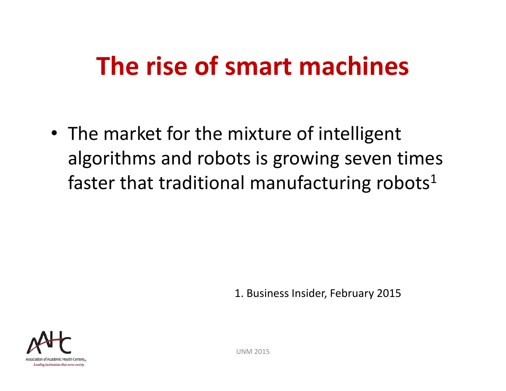## **The rise of smart machines**

• The market for the mixture of intelligent algorithms and robots is growing seven times faster that traditional manufacturing robots $^1$ 

1. Business Insider, February 2015

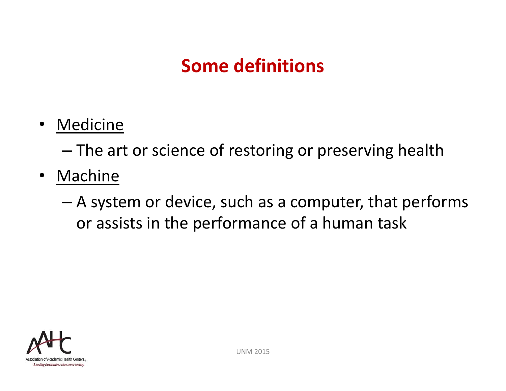#### **Some definitions**

•• Medicine

> –The art or science of restoring or preserving health

- Machine
	- – A system or device, such as a computer, that performs or assists in the performance of a human task

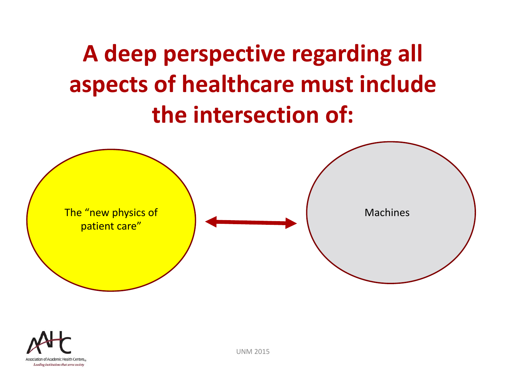#### **A deep perspective regarding all aspects of healthcare must include the intersection of:**



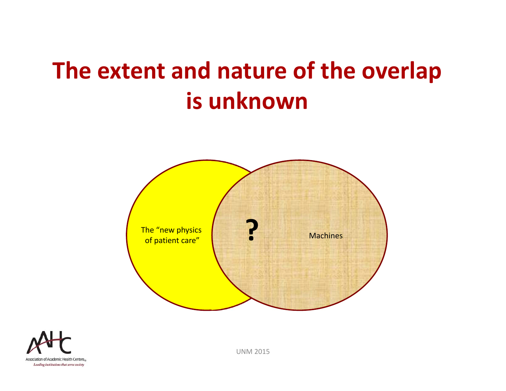#### **The extent and nature of the overlap is unknown**



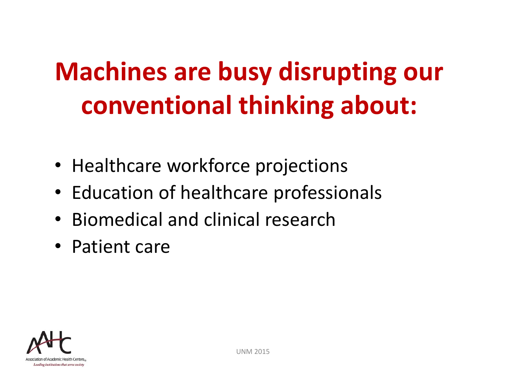# **Machines are busy disrupting our conventional thinking about:**

- Healthcare workforce projections
- Education of healthcare professionals
- Biomedical and clinical research
- Patient care

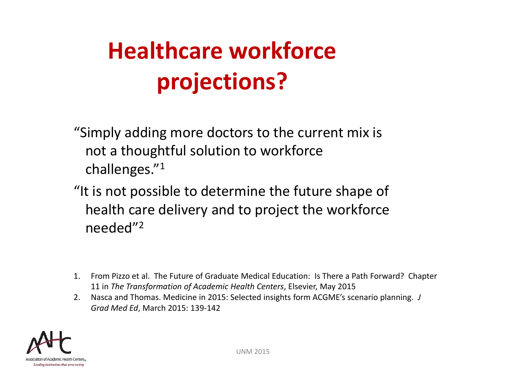# **Healthcare workforce projections?**

- "Simply adding more doctors to the current mix is not a thoughtful solution to workforce challenges." 1
- "It is not possible to determine the future shape of health care delivery and to project the workforce needed"<sup>2</sup>
- 1. From Pizzo et al. The Future of Graduate Medical Education: Is There a Path Forward? Chapter 11 in *The Transformation of Academic Health Centers*, Elsevier, May 2015
- 2. Nasca and Thomas. Medicine in 2015: Selected insights form ACGME's scenario planning. *J Grad Med Ed*, March 2015: 139‐142

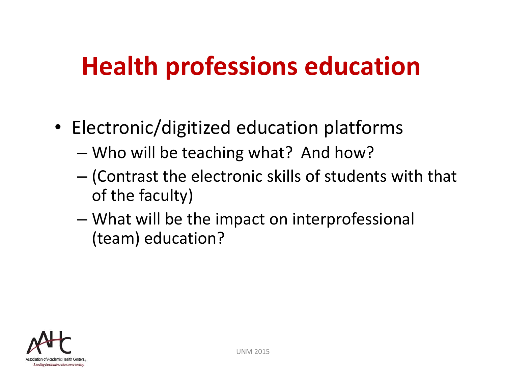# **Health professions education**

- Electronic/digitized education platforms
	- –Who will be teaching what? And how?
	- – (Contrast the electronic skills of students with that of the faculty)
	- – What will be the impact on interprofessional (team) education?

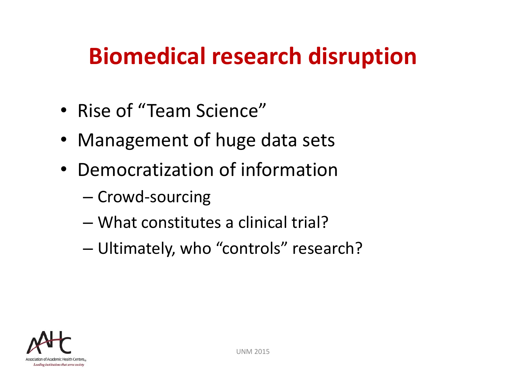#### **Biomedical research disruption**

- Rise of "Team Science"
- Management of huge data sets
- Democratization of information
	- Crowd-sourcing
	- What constitutes a clinical trial?
	- –Ultimately, who "controls" research?

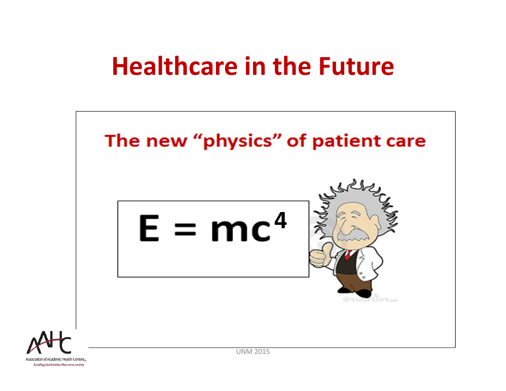#### **Healthcare in the Future**



Association of Academic Health Centers, Leading institutions that serve society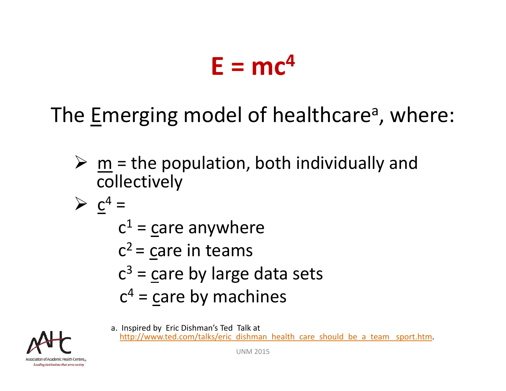# $E = mc^4$

The Emerging model of healthcare<sup>a</sup>, where:

- $\triangleright$  m = the population, both individually and collectively
- $\geqslant c^4$  =
	- $c<sup>1</sup>$  = care anywhere
	- $c^2$  = care in teams
	- $c<sup>3</sup>$  = care by large data sets
	- $c<sup>4</sup>$  = care by machines



a. Inspired by Eric Dishman's Ted Talk at http://www.ted.com/talks/eric\_dishman\_health\_care\_should\_be\_a\_team\_sport.htm.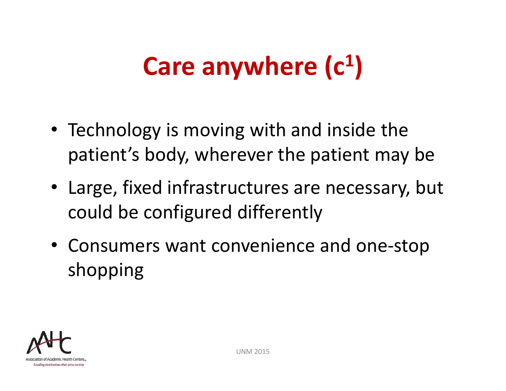#### **Care anywhere (c 1 )**

- Technology is moving with and inside the patient's body, wherever the patient may be
- Large, fixed infrastructures are necessary, but could be configured differently
- Consumers want convenience and one-stop shopping

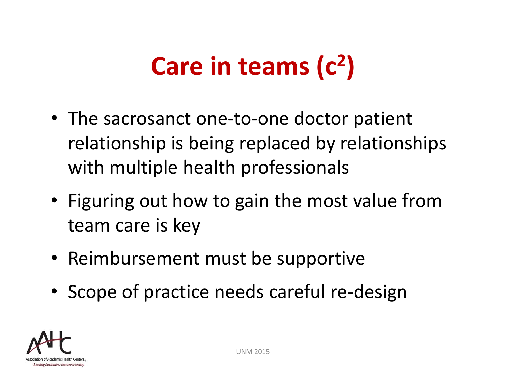#### **Care in teams (c 2 )**

- The sacrosanct one-to-one doctor patient relationship is being replaced by relationships with multiple health professionals
- Figuring out how to gain the most value from team care is key
- Reimbursement must be supportive
- Scope of practice needs careful re-design

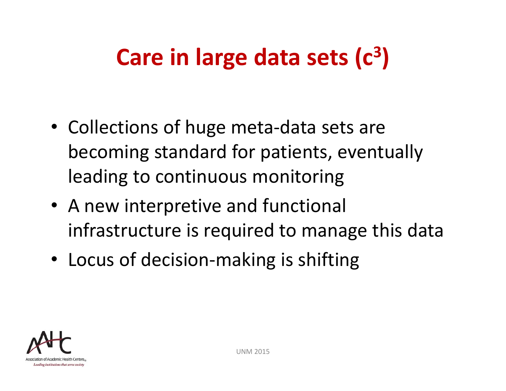#### **Care in large data sets (c 3 )**

- Collections of huge meta-data sets are becoming standard for patients, eventually leading to continuous monitoring
- A new interpretive and functional infrastructure is required to manage this data
- Locus of decision‐making is shifting

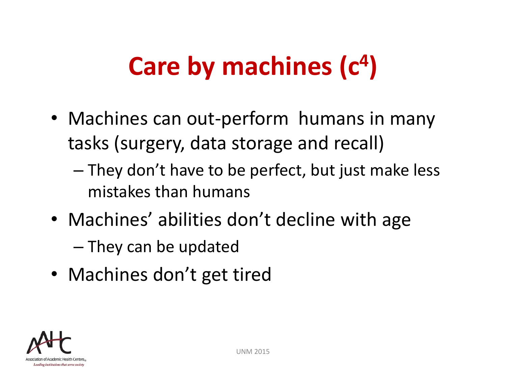#### **Care by machines (c 4 )**

- Machines can out-perform humans in many tasks (surgery, data storage and recall)
	- – They don't have to be perfect, but just make less mistakes than humans
- Machines' abilities don't decline with age
	- – $-$  They can be updated
- Machines don't get tired

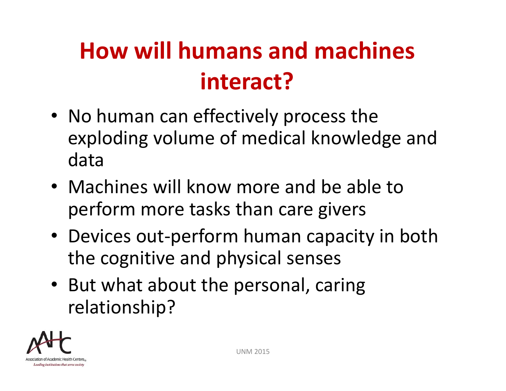## **How will humans and machines interact?**

- No human can effectively process the exploding volume of medical knowledge and data
- Machines will know more and be able to perform more tasks than care givers
- Devices out‐perform human capacity in both the cognitive and physical senses
- But what about the personal, caring relationship?

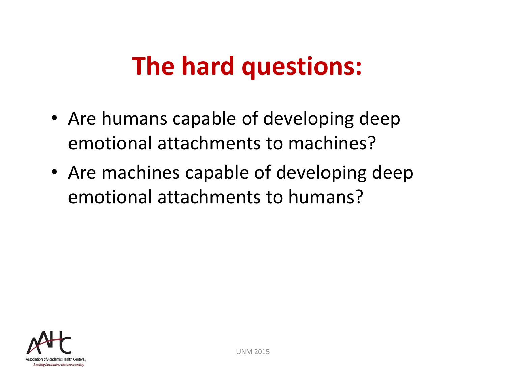## **The hard questions:**

- Are humans capable of developing deep emotional attachments to machines?
- Are machines capable of developing deep emotional attachments to humans?

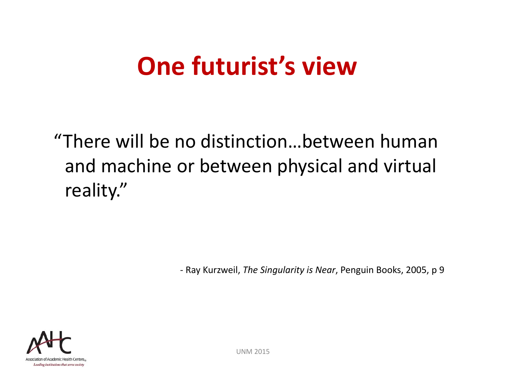#### **One futurist's view**

"There will be no distinction…between human and machine or between physical and virtual reality."

‐ Ray Kurzweil, *The Singularity is Near*, Penguin Books, 2005, p 9

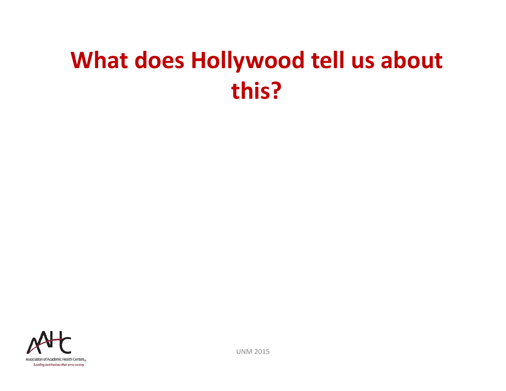#### **What does Hollywood tell us about this?**

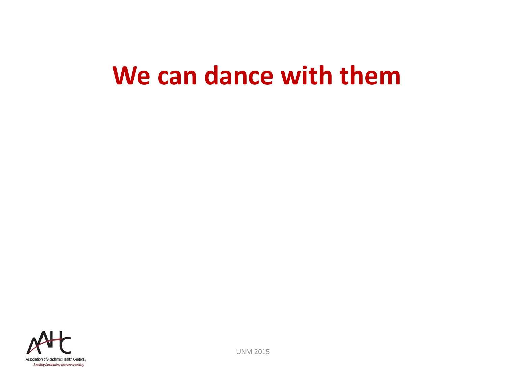#### **We can dance with them**

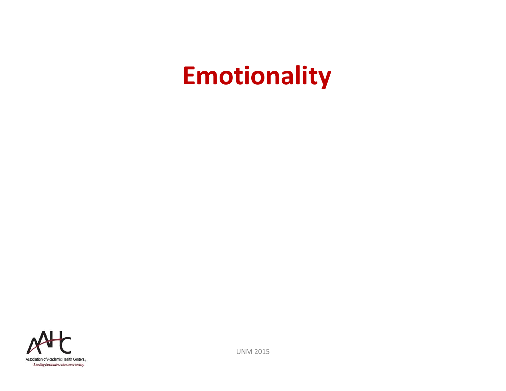## **Emotionality**

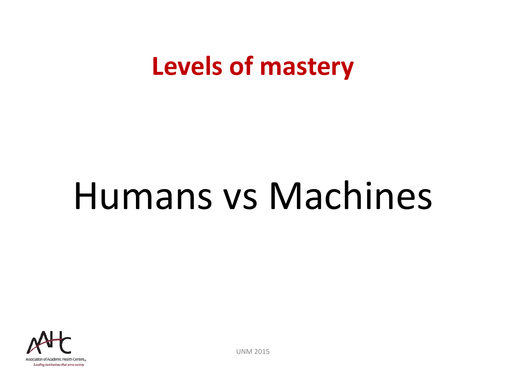#### **Levels of mastery**

# Humans vs Machines

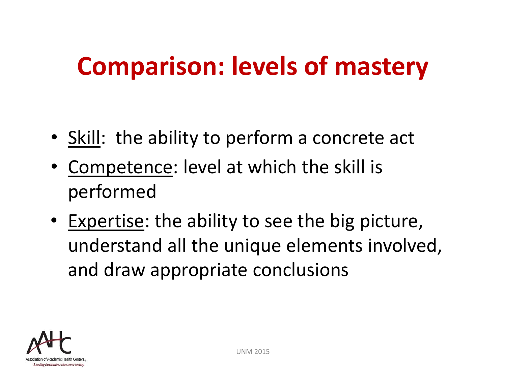# **Comparison: levels of mastery**

- Skill: the ability to perform a concrete act
- • Competence: level at which the skill is performed
- Expertise: the ability to see the big picture, understand all the unique elements involved, and draw appropriate conclusions

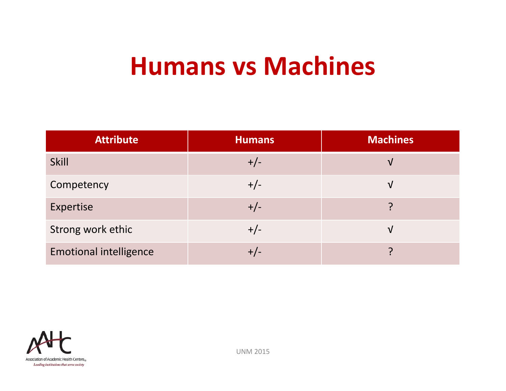#### **Humans vs Machines**

| <b>Attribute</b>              | <b>Humans</b> | <b>Machines</b> |
|-------------------------------|---------------|-----------------|
| <b>Skill</b>                  | $+/-$         | V               |
| Competency                    | $+/-$         | V               |
| Expertise                     | $+/-$         |                 |
| Strong work ethic             | $+/-$         | V               |
| <b>Emotional intelligence</b> |               |                 |

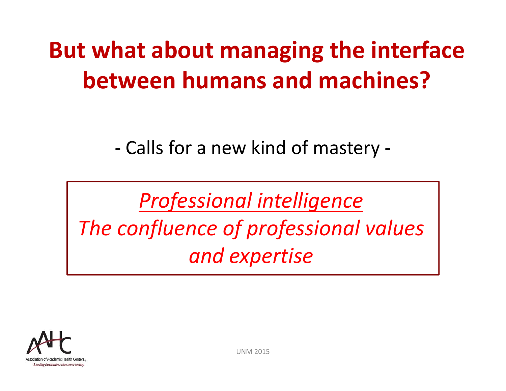#### **But what about managing the interface between humans and machines?**

‐Calls for a new kind of mastery ‐

*Professional intelligence The confluence of professional values and expertise*

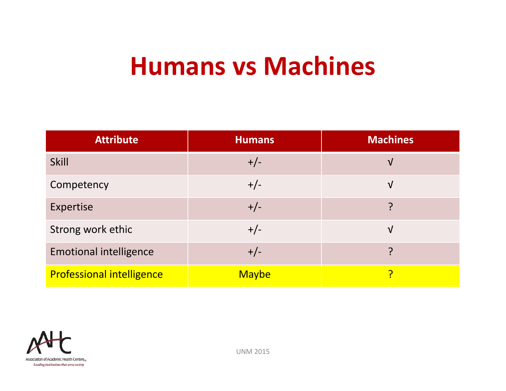#### **Humans vs Machines**

| <b>Attribute</b>                 | <b>Humans</b> | <b>Machines</b> |
|----------------------------------|---------------|-----------------|
| <b>Skill</b>                     | $+/-$         | $\sqrt{ }$      |
| Competency                       | $+/-$         | $\sqrt{ }$      |
| Expertise                        | $+/-$         | ှာ              |
| Strong work ethic                | $+/-$         | $\sqrt{ }$      |
| <b>Emotional intelligence</b>    | $+/-$         | ှာ              |
| <b>Professional intelligence</b> | <b>Maybe</b>  |                 |

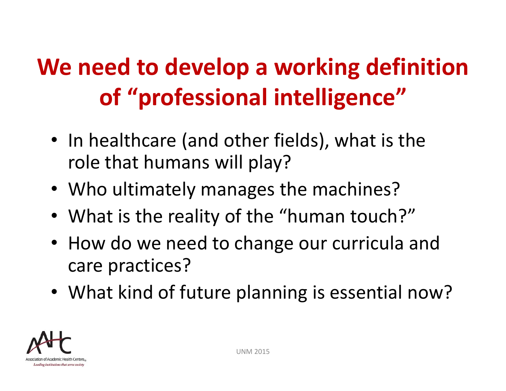## **We need to develop a working definition of "professional intelligence"**

- In healthcare (and other fields), what is the role that humans will play?
- Who ultimately manages the machines?
- What is the reality of the "human touch?"
- How do we need to change our curricula and care practices?
- What kind of future planning is essential now?

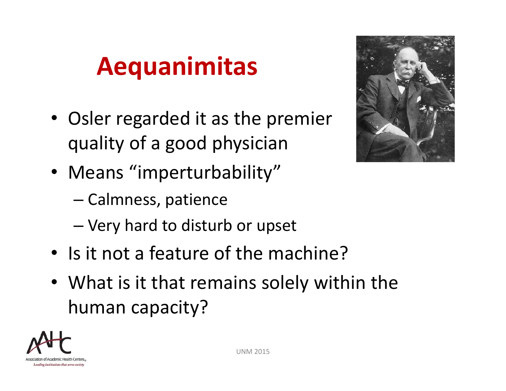## **Aequanimitas**

- Osler regarded it as the premier quality of a good physician
- Means "imperturbability"
	- –Calmness, patience
	- –Very hard to disturb or upset
- Is it not a feature of the machine?
- What is it that remains solely within the human capacity?



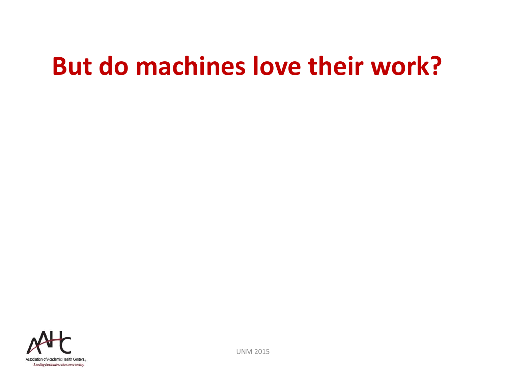## **But do machines love their work?**

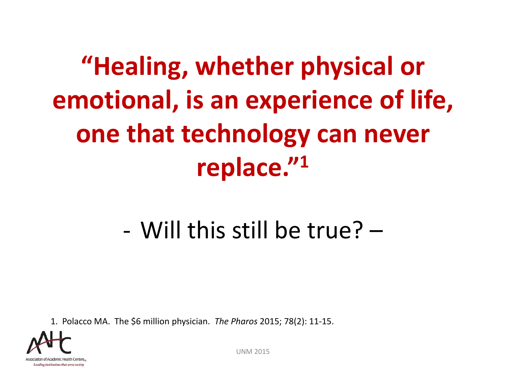# **"Healing, whether physical or emotional, is an experience of life, one that technology can never replace." 1**

#### ‐Will this still be true? –

1. Polacco MA. The \$6 million physician. *The Pharos* 2015; 78(2): 11‐15.

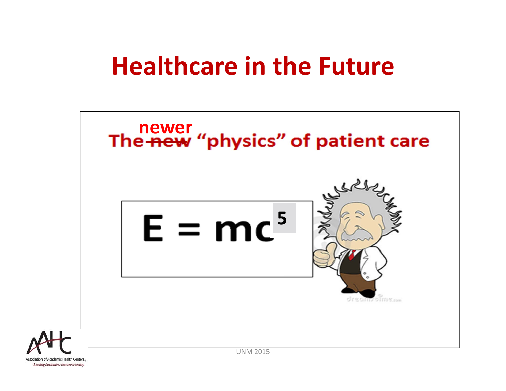#### **Healthcare in the Future**



Association of Academic Health Centers. Leading institutions that serve society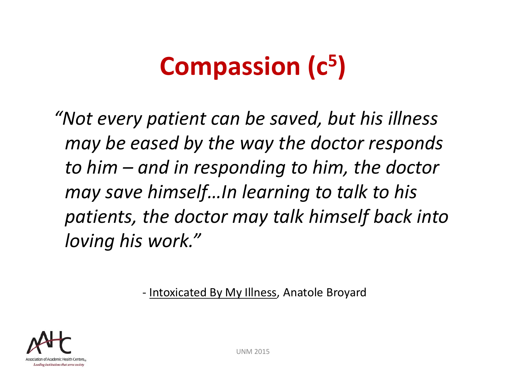# **Compassion (c5)**

*"Not every patient can be saved, but his illness may be eased by the way the doctor responds to him – and in responding to him, the doctor may save himself…In learning to talk to his patients, the doctor may talk himself back into loving his work."*

‐ Intoxicated By My Illness, Anatole Broyard